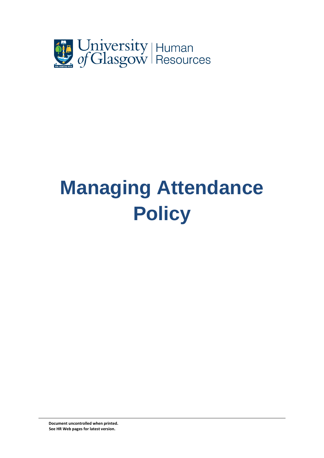

# **Managing Attendance Policy**

 **Document uncontrolled when printed. See HR Web pages for latest version.**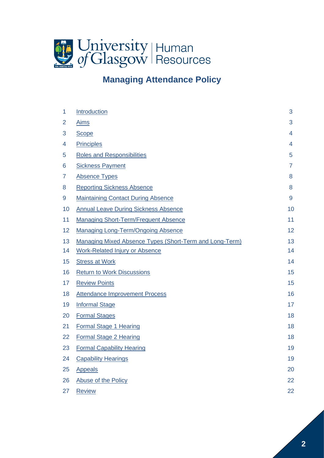

# **Managing Attendance Policy**

| 1              | Introduction                                            | 3              |
|----------------|---------------------------------------------------------|----------------|
| $\overline{2}$ | <b>Aims</b>                                             | 3              |
| 3              | <b>Scope</b>                                            | $\overline{4}$ |
| 4              | <b>Principles</b>                                       | $\overline{4}$ |
| 5              | <b>Roles and Responsibilities</b>                       | 5              |
| 6              | <b>Sickness Payment</b>                                 | $\overline{7}$ |
| 7              | <b>Absence Types</b>                                    | 8              |
| 8              | <b>Reporting Sickness Absence</b>                       | 8              |
| 9              | <b>Maintaining Contact During Absence</b>               | 9              |
| 10             | <b>Annual Leave During Sickness Absence</b>             | 10             |
| 11             | <b>Managing Short-Term/Frequent Absence</b>             | 11             |
| 12             | <b>Managing Long-Term/Ongoing Absence</b>               | 12             |
| 13             | Managing Mixed Absence Types (Short-Term and Long-Term) | 13             |
| 14             | <b>Work-Related Injury or Absence</b>                   | 14             |
| 15             | <b>Stress at Work</b>                                   | 14             |
| 16             | <b>Return to Work Discussions</b>                       | 15             |
| 17             | <b>Review Points</b>                                    | 15             |
| 18             | <b>Attendance Improvement Process</b>                   | 16             |
| 19             | <b>Informal Stage</b>                                   | 17             |
| 20             | <b>Formal Stages</b>                                    | 18             |
| 21             | Formal Stage 1 Hearing                                  | 18             |
| 22             | <b>Formal Stage 2 Hearing</b>                           | 18             |
| 23             | <b>Formal Capability Hearing</b>                        | 19             |
| 24             | <b>Capability Hearings</b>                              | 19             |
| 25             | <b>Appeals</b>                                          | 20             |
| 26             | Abuse of the Policy                                     | 22             |
| 27             | <b>Review</b>                                           | 22             |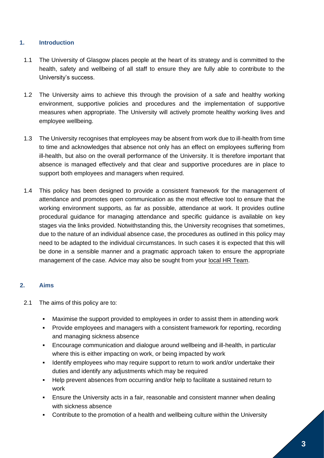#### <span id="page-2-0"></span>**1. Introduction**

- 1.1 The University of Glasgow places people at the heart of its strategy and is committed to the health, safety and wellbeing of all staff to ensure they are fully able to contribute to the University's success.
- 1.2 The University aims to achieve this through the provision of a safe and healthy working environment, supportive policies and procedures and the implementation of supportive measures when appropriate. The University will actively promote healthy working lives and employee wellbeing.
- 1.3 The University recognises that employees may be absent from work due to ill-health from time to time and acknowledges that absence not only has an effect on employees suffering from ill-health, but also on the overall performance of the University. It is therefore important that absence is managed effectively and that clear and supportive procedures are in place to support both employees and managers when required.
- 1.4 This policy has been designed to provide a consistent framework for the management of attendance and promotes open communication as the most effective tool to ensure that the working environment supports, as far as possible, attendance at work. It provides outline procedural guidance for managing attendance and specific guidance is available on key stages via the links provided. Notwithstanding this, the University recognises that sometimes, due to the nature of an individual absence case, the procedures as outlined in this policy may need to be adapted to the individual circumstances. In such cases it is expected that this will be done in a sensible manner and a pragmatic approach taken to ensure the appropriate management of the case. Advice may also be sought from your [local HR Team.](https://www.gla.ac.uk/myglasgow/humanresources/contact/)

#### <span id="page-2-1"></span>**2. Aims**

- 2.1 The aims of this policy are to:
	- Maximise the support provided to employees in order to assist them in attending work
	- Provide employees and managers with a consistent framework for reporting, recording and managing sickness absence
	- Encourage communication and dialogue around wellbeing and ill-health, in particular where this is either impacting on work, or being impacted by work
	- Identify employees who may require support to return to work and/or undertake their duties and identify any adjustments which may be required
	- Help prevent absences from occurring and/or help to facilitate a sustained return to work
	- **Ensure the University acts in a fair, reasonable and consistent manner when dealing** with sickness absence
	- Contribute to the promotion of a health and wellbeing culture within the University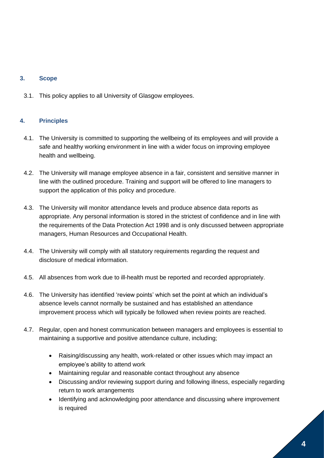# <span id="page-3-0"></span>**3. Scope**

3.1. This policy applies to all University of Glasgow employees.

## <span id="page-3-1"></span>**4. Principles**

- 4.1. The University is committed to supporting the wellbeing of its employees and will provide a safe and healthy working environment in line with a wider focus on improving employee health and wellbeing.
- 4.2. The University will manage employee absence in a fair, consistent and sensitive manner in line with the outlined procedure. Training and support will be offered to line managers to support the application of this policy and procedure.
- 4.3. The University will monitor attendance levels and produce absence data reports as appropriate. Any personal information is stored in the strictest of confidence and in line with the requirements of the Data Protection Act 1998 and is only discussed between appropriate managers, Human Resources and Occupational Health.
- 4.4. The University will comply with all statutory requirements regarding the request and disclosure of medical information.
- 4.5. All absences from work due to ill-health must be reported and recorded appropriately.
- 4.6. The University has identified 'review points' which set the point at which an individual's absence levels cannot normally be sustained and has established an attendance improvement process which will typically be followed when review points are reached.
- 4.7. Regular, open and honest communication between managers and employees is essential to maintaining a supportive and positive attendance culture, including;
	- Raising/discussing any health, work-related or other issues which may impact an employee's ability to attend work
	- Maintaining regular and reasonable contact throughout any absence
	- Discussing and/or reviewing support during and following illness, especially regarding return to work arrangements
	- Identifying and acknowledging poor attendance and discussing where improvement is required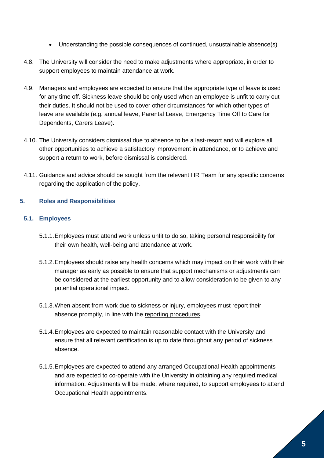- Understanding the possible consequences of continued, unsustainable absence(s)
- 4.8. The University will consider the need to make adjustments where appropriate, in order to support employees to maintain attendance at work.
- 4.9. Managers and employees are expected to ensure that the appropriate type of leave is used for any time off. Sickness leave should be only used when an employee is unfit to carry out their duties. It should not be used to cover other circumstances for which other types of leave are available (e.g. annual leave, Parental Leave, Emergency Time Off to Care for Dependents, Carers Leave).
- 4.10. The University considers dismissal due to absence to be a last-resort and will explore all other opportunities to achieve a satisfactory improvement in attendance, or to achieve and support a return to work, before dismissal is considered.
- 4.11. Guidance and advice should be sought from the relevant HR Team for any specific concerns regarding the application of the policy.

# <span id="page-4-0"></span>**5. Roles and Responsibilities**

# **5.1. Employees**

- 5.1.1.Employees must attend work unless unfit to do so, taking personal responsibility for their own health, well-being and attendance at work.
- 5.1.2.Employees should raise any health concerns which may impact on their work with their manager as early as possible to ensure that support mechanisms or adjustments can be considered at the earliest opportunity and to allow consideration to be given to any potential operational impact.
- 5.1.3.When absent from work due to sickness or injury, employees must report their absence promptly, in line with the reporting [procedures.](https://www.gla.ac.uk/myglasgow/humanresources/all/health/managingattendancepolicy/managingattendancepolicy/#d.en.501101)
- 5.1.4.Employees are expected to maintain reasonable contact with the University and ensure that all relevant certification is up to date throughout any period of sickness absence.
- 5.1.5.Employees are expected to attend any arranged Occupational Health appointments and are expected to co-operate with the University in obtaining any required medical information. Adjustments will be made, where required, to support employees to attend Occupational Health appointments.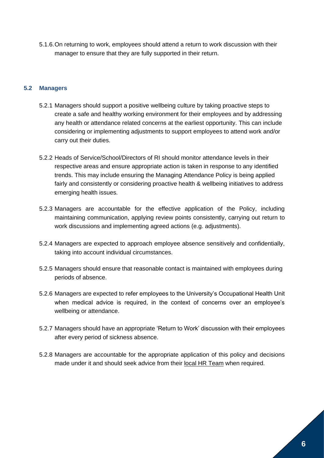5.1.6.On returning to work, employees should attend a return to work discussion with their manager to ensure that they are fully supported in their return.

## **5.2 Managers**

- 5.2.1 Managers should support a positive wellbeing culture by taking proactive steps to create a safe and healthy working environment for their employees and by addressing any health or attendance related concerns at the earliest opportunity. This can include considering or implementing adjustments to support employees to attend work and/or carry out their duties.
- 5.2.2 Heads of Service/School/Directors of RI should monitor attendance levels in their respective areas and ensure appropriate action is taken in response to any identified trends. This may include ensuring the Managing Attendance Policy is being applied fairly and consistently or considering proactive health & wellbeing initiatives to address emerging health issues.
- 5.2.3 Managers are accountable for the effective application of the Policy, including maintaining communication, applying review points consistently, carrying out return to work discussions and implementing agreed actions (e.g. adjustments).
- 5.2.4 Managers are expected to approach employee absence sensitively and confidentially, taking into account individual circumstances.
- 5.2.5 Managers should ensure that reasonable contact is maintained with employees during periods of absence.
- 5.2.6 Managers are expected to refer employees to the University's Occupational Health Unit when medical advice is required, in the context of concerns over an employee's wellbeing or attendance.
- 5.2.7 Managers should have an appropriate 'Return to Work' discussion with their employees after every period of sickness absence.
- 5.2.8 Managers are accountable for the appropriate application of this policy and decisions made under it and should seek advice from their [local HR Team](https://www.gla.ac.uk/myglasgow/humanresources/contact/) when required.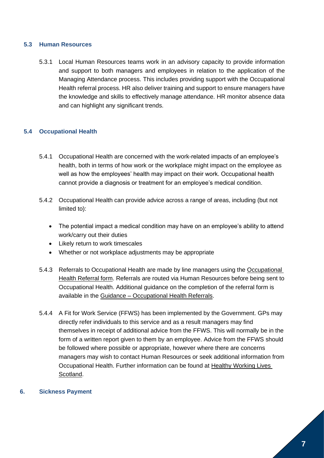#### **5.3 Human Resources**

5.3.1 Local Human Resources teams work in an advisory capacity to provide information and support to both managers and employees in relation to the application of the Managing Attendance process. This includes providing support with the Occupational Health referral process. HR also deliver training and support to ensure managers have the knowledge and skills to effectively manage attendance. HR monitor absence data and can highlight any significant trends.

#### **5.4 Occupational Health**

- 5.4.1 Occupational Health are concerned with the work-related impacts of an employee's health, both in terms of how work or the workplace might impact on the employee as well as how the employees' health may impact on their work. Occupational health cannot provide a diagnosis or treatment for an employee's medical condition.
- 5.4.2 Occupational Health can provide advice across a range of areas, including (but not limited to):
	- The potential impact a medical condition may have on an employee's ability to attend work/carry out their duties
	- Likely return to work timescales
	- Whether or not workplace adjustments may be appropriate
- 5.4.3 Referrals to Occupational Health are made by line managers using the [Occupational](https://glasgow.saasiteu.com/Modules/SelfService/#serviceCatalog/request/01C8E720732548CBB581E99235C12A66)  [Health Referral form.](https://glasgow.saasiteu.com/Modules/SelfService/#serviceCatalog/request/01C8E720732548CBB581E99235C12A66) Referrals are routed via Human Resources before being sent to Occupational Health. Additional guidance on the completion of the referral form is available in the Guidance – [Occupational Health Referrals.](https://www.gla.ac.uk/myglasgow/humanresources/all/health/managingattendancepolicy/guidance-occupationalhealthreferrals/#d.en.501209)
- 5.4.4 A Fit for Work Service (FFWS) has been implemented by the Government. GPs may directly refer individuals to this service and as a result managers may find themselves in receipt of additional advice from the FFWS. This will normally be in the form of a written report given to them by an employee. Advice from the FFWS should be followed where possible or appropriate, however where there are concerns managers may wish to contact Human Resources or seek additional information from Occupational Health. Further information can be found at [Healthy Working Lives](https://www.healthyworkinglives.scot/Pages/default.aspx)  [Scotland.](https://www.healthyworkinglives.scot/Pages/default.aspx)

#### <span id="page-6-0"></span>**6. Sickness Payment**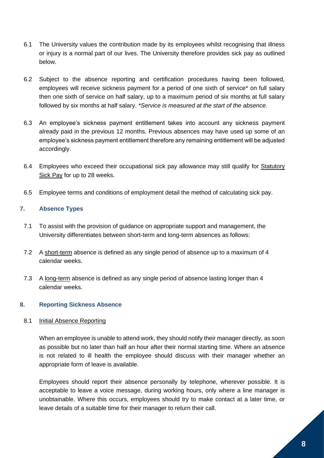- 6.1 The University values the contribution made by its employees whilst recognising that illness or injury is a normal part of our lives. The University therefore provides sick pay as outlined below.
- 6.2 Subject to the absence reporting and certification procedures having been followed, employees will receive sickness payment for a period of one sixth of service\* on full salary then one sixth of service on half salary, up to a maximum period of six months at full salary followed by six months at half salary. *\*Service is measured at the start of the absence.*
- 6.3 An employee's sickness payment entitlement takes into account any sickness payment already paid in the previous 12 months. Previous absences may have used up some of an employee's sickness payment entitlement therefore any remaining entitlement will be adjusted accordingly.
- 6.4 Employees who exceed their occupational sick pay allowance may still qualify for [Statutory](https://www.gov.uk/statutory-sick-pay)  [Sick Pay](https://www.gov.uk/statutory-sick-pay) for up to 28 weeks.
- 6.5 Employee terms and conditions of employment detail the method of calculating sick pay.

## <span id="page-7-0"></span>**7. Absence Types**

- 7.1 To assist with the provision of guidance on appropriate support and management, the University differentiates between short-term and long-term absences as follows:
- 7.2 A short-term absence is defined as any single period of absence up to a maximum of 4 calendar weeks.
- 7.3 A long-term absence is defined as any single period of absence lasting longer than 4 calendar weeks.

## <span id="page-7-1"></span>**8. Reporting Sickness Absence**

#### 8.1 Initial Absence Reporting

When an employee is unable to attend work, they should notify their manager directly, as soon as possible but no later than half an hour after their normal starting time. Where an absence is not related to ill health the employee should discuss with their manager whether an appropriate form of leave is available.

Employees should report their absence personally by telephone, wherever possible. It is acceptable to leave a voice message, during working hours, only where a line manager is unobtainable. Where this occurs, employees should try to make contact at a later time, or leave details of a suitable time for their manager to return their call.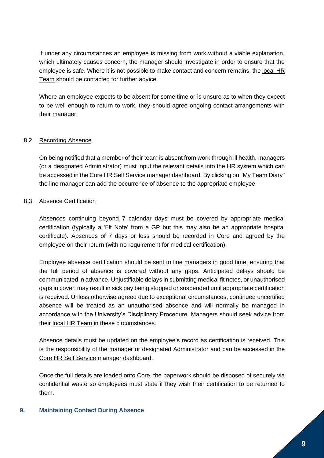If under any circumstances an employee is missing from work without a viable explanation, which ultimately causes concern, the manager should investigate in order to ensure that the employee is safe. Where it is not possible to make contact and concern remains, the [local HR](https://www.gla.ac.uk/myglasgow/humanresources/contact/)  [Team](https://www.gla.ac.uk/myglasgow/humanresources/contact/) should be contacted for further advice.

Where an employee expects to be absent for some time or is unsure as to when they expect to be well enough to return to work, they should agree ongoing contact arrangements with their manager.

#### 8.2 Recording Absence

On being notified that a member of their team is absent from work through ill health, managers (or a designated Administrator) must input the relevant details into the HR system which can be accessed in th[e Core HR Self Service](https://my.corehr.com/pls/coreportal_uogp/i#EmpMain/myprofile) manager dashboard. By clicking on "My Team Diary" the line manager can add the occurrence of absence to the appropriate employee.

#### 8.3 Absence Certification

Absences continuing beyond 7 calendar days must be covered by appropriate medical certification (typically a 'Fit Note' from a GP but this may also be an appropriate hospital certificate). Absences of 7 days or less should be recorded in Core and agreed by the employee on their return (with no requirement for medical certification).

Employee absence certification should be sent to line managers in good time, ensuring that the full period of absence is covered without any gaps. Anticipated delays should be communicated in advance. Unjustifiable delays in submitting medical fit notes, or unauthorised gaps in cover, may result in sick pay being stopped or suspended until appropriate certification is received. Unless otherwise agreed due to exceptional circumstances, continued uncertified absence will be treated as an unauthorised absence and will normally be managed in accordance with the University's Disciplinary Procedure. Managers should seek advice from their [local HR Team](https://www.gla.ac.uk/myglasgow/humanresources/contact/) in these circumstances.

Absence details must be updated on the employee's record as certification is received. This is the responsibility of the manager or designated Administrator and can be accessed in the [Core HR Self Service](https://my.corehr.com/pls/coreportal_uogp/i#EmpMain/myprofile) manager dashboard.

Once the full details are loaded onto Core, the paperwork should be disposed of securely via confidential waste so employees must state if they wish their certification to be returned to them.

#### <span id="page-8-0"></span>**9. Maintaining Contact During Absence**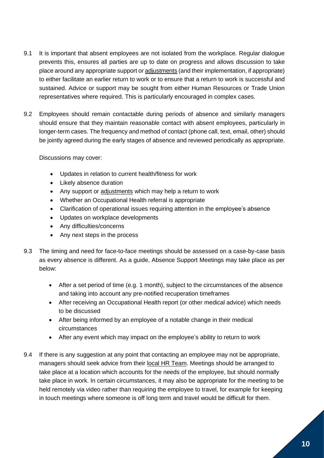- 9.1 It is important that absent employees are not isolated from the workplace. Regular dialogue prevents this, ensures all parties are up to date on progress and allows discussion to take place around any appropriate support o[r adjustments](https://www.gla.ac.uk/myglasgow/humanresources/all/health/managingattendancepolicy/guidance-consideringreasonableadjustments/#d.en.501205) (and their implementation, if appropriate) to either facilitate an earlier return to work or to ensure that a return to work is successful and sustained. Advice or support may be sought from either Human Resources or Trade Union representatives where required. This is particularly encouraged in complex cases.
- 9.2 Employees should remain contactable during periods of absence and similarly managers should ensure that they maintain reasonable contact with absent employees, particularly in longer-term cases. The frequency and method of contact (phone call, text, email, other) should be jointly agreed during the early stages of absence and reviewed periodically as appropriate.

Discussions may cover:

- Updates in relation to current health/fitness for work
- Likely absence duration
- Any support or [adjustments](https://www.gla.ac.uk/myglasgow/humanresources/all/health/managingattendancepolicy/guidance-consideringreasonableadjustments/#d.en.501205) which may help a return to work
- Whether an Occupational Health referral is appropriate
- Clarification of operational issues requiring attention in the employee's absence
- Updates on workplace developments
- Any difficulties/concerns
- Any next steps in the process
- 9.3 The timing and need for face-to-face meetings should be assessed on a case-by-case basis as every absence is different. As a guide, Absence Support Meetings may take place as per below:
	- After a set period of time (e.g. 1 month), subject to the circumstances of the absence and taking into account any pre-notified recuperation timeframes
	- After receiving an Occupational Health report (or other medical advice) which needs to be discussed
	- After being informed by an employee of a notable change in their medical circumstances
	- After any event which may impact on the employee's ability to return to work
- 9.4 If there is any suggestion at any point that contacting an employee may not be appropriate, managers should seek advice from their [local HR Team.](https://www.gla.ac.uk/myglasgow/humanresources/contact/) Meetings should be arranged to take place at a location which accounts for the needs of the employee, but should normally take place in work. In certain circumstances, it may also be appropriate for the meeting to be held remotely via video rather than requiring the employee to travel, for example for keeping in touch meetings where someone is off long term and travel would be difficult for them.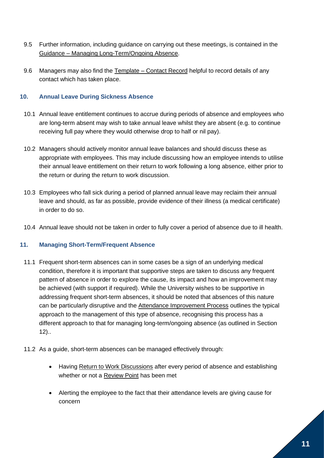- 9.5 Further information, including guidance on carrying out these meetings, is contained in the Guidance – [Managing Long-Term/Ongoing Absence.](https://www.gla.ac.uk/myglasgow/humanresources/all/health/managingattendancepolicy/guidance-managinglong-termongoingabsence/#d.en.501206)
- 9.6 Managers may also find the Template [Contact Record](https://www.gla.ac.uk/media/Media_501139_smxx.docx) helpful to record details of any contact which has taken place.

# <span id="page-10-0"></span>**10. Annual Leave During Sickness Absence**

- 10.1 Annual leave entitlement continues to accrue during periods of absence and employees who are long-term absent may wish to take annual leave whilst they are absent (e.g. to continue receiving full pay where they would otherwise drop to half or nil pay).
- 10.2 Managers should actively monitor annual leave balances and should discuss these as appropriate with employees. This may include discussing how an employee intends to utilise their annual leave entitlement on their return to work following a long absence, either prior to the return or during the return to work discussion.
- 10.3 Employees who fall sick during a period of planned annual leave may reclaim their annual leave and should, as far as possible, provide evidence of their illness (a medical certificate) in order to do so.
- 10.4 Annual leave should not be taken in order to fully cover a period of absence due to ill health.

## <span id="page-10-1"></span>**11. Managing Short-Term/Frequent Absence**

- 11.1 Frequent short-term absences can in some cases be a sign of an underlying medical condition, therefore it is important that supportive steps are taken to discuss any frequent pattern of absence in order to explore the cause, its impact and how an improvement may be achieved (with support if required). While the University wishes to be supportive in addressing frequent short-term absences, it should be noted that absences of this nature can be particularly disruptive and the [Attendance Improvement Process](https://www.gla.ac.uk/myglasgow/humanresources/all/health/managingattendancepolicy/managingattendancepolicy/#d.en.501116) outlines the typical approach to the management of this type of absence, recognising this process has a different approach to that for managing long-term/ongoing absence (as outlined in Section 12)..
- 11.2 As a guide, short-term absences can be managed effectively through:
	- Having [Return to Work Discussions](https://www.gla.ac.uk/myglasgow/humanresources/all/health/managingattendancepolicy/managingattendancepolicy/#d.en.501113) after every period of absence and establishing whether or not a [Review Point](https://www.gla.ac.uk/myglasgow/humanresources/all/health/managingattendancepolicy/managingattendancepolicy/#d.en.501115) has been met
	- Alerting the employee to the fact that their attendance levels are giving cause for concern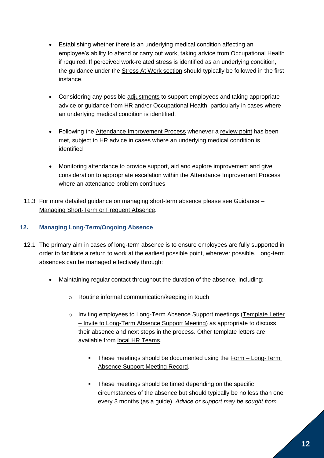- Establishing whether there is an underlying medical condition affecting an employee's ability to attend or carry out work, taking advice from Occupational Health if required. If perceived work-related stress is identified as an underlying condition, the guidance under the [Stress At Work section](https://www.gla.ac.uk/myglasgow/humanresources/all/health/managingattendancepolicy/managingattendancepolicy/#d.en.501112) should typically be followed in the first instance.
- Considering any possible [adjustments](https://www.gla.ac.uk/myglasgow/humanresources/all/health/managingattendancepolicy/guidance-consideringreasonableadjustments/#d.en.501205) to support employees and taking appropriate advice or guidance from HR and/or Occupational Health, particularly in cases where an underlying medical condition is identified.
- Following the [Attendance Improvement Process](https://www.gla.ac.uk/myglasgow/humanresources/all/health/managingattendancepolicy/managingattendancepolicy/#d.en.501116) whenever a [review point](https://www.gla.ac.uk/myglasgow/humanresources/all/health/managingattendancepolicy/managingattendancepolicy/#d.en.501115) has been met, subject to HR advice in cases where an underlying medical condition is identified
- Monitoring attendance to provide support, aid and explore improvement and give consideration to appropriate escalation within the [Attendance Improvement Process](https://www.gla.ac.uk/myglasgow/humanresources/all/health/managingattendancepolicy/managingattendancepolicy/#d.en.501116) where an attendance problem continues
- 11.3 For more detailed guidance on managing short-term absence please see [Guidance –](https://www.gla.ac.uk/myglasgow/humanresources/all/health/managingattendancepolicy/guidance-managingshorttermorfrequentabsence/#d.en.501207) [Managing Short-Term or Frequent Absence.](https://www.gla.ac.uk/myglasgow/humanresources/all/health/managingattendancepolicy/guidance-managingshorttermorfrequentabsence/#d.en.501207)

# <span id="page-11-0"></span>**12. Managing Long-Term/Ongoing Absence**

- 12.1 The primary aim in cases of long-term absence is to ensure employees are fully supported in order to facilitate a return to work at the earliest possible point, wherever possible. Long-term absences can be managed effectively through:
	- Maintaining regular contact throughout the duration of the absence, including:
		- o Routine informal communication/keeping in touch
		- o Inviting employees to Long-Term Absence Support meetings [\(Template Letter](https://www.gla.ac.uk/media/Media_507614_smxx.docx)  – [Invite to Long-Term Absence Support Meeting\)](https://www.gla.ac.uk/media/Media_507614_smxx.docx) as appropriate to discuss their absence and next steps in the process. Other template letters are available from [local HR Teams.](https://www.gla.ac.uk/myglasgow/humanresources/contact/)
			- **EXECT** These meetings should be documented using the Form Long-Term [Absence Support Meeting Record.](https://www.gla.ac.uk/media/Media_501141_smxx.docx)
			- These meetings should be timed depending on the specific circumstances of the absence but should typically be no less than one every 3 months (as a guide). *Advice or support may be sought from*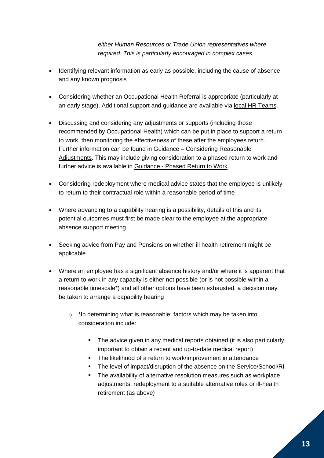*either Human Resources or Trade Union representatives where required. This is particularly encouraged in complex cases.*

- Identifying relevant information as early as possible, including the cause of absence and any known prognosis
- Considering whether an Occupational Health Referral is appropriate (particularly at an early stage). Additional support and guidance are available via [local HR Teams.](https://www.gla.ac.uk/myglasgow/humanresources/contact/)
- Discussing and considering any adjustments or supports (including those recommended by Occupational Health) which can be put in place to support a return to work, then monitoring the effectiveness of these after the employees return. Further information can be found in Guidance – [Considering Reasonable](https://www.gla.ac.uk/myglasgow/humanresources/all/health/managingattendancepolicy/guidance-consideringreasonableadjustments/#d.en.501205)  [Adjustments.](https://www.gla.ac.uk/myglasgow/humanresources/all/health/managingattendancepolicy/guidance-consideringreasonableadjustments/#d.en.501205) This may include giving consideration to a phased return to work and further advice is available in Guidance - [Phased Return to Work.](https://www.gla.ac.uk/myglasgow/humanresources/all/health/managingattendancepolicy/guidance-phasedreturntowork/)
- Considering redeployment where medical advice states that the employee is unlikely to return to their contractual role within a reasonable period of time
- Where advancing to a capability hearing is a possibility, details of this and its potential outcomes must first be made clear to the employee at the appropriate absence support meeting.
- Seeking advice from Pay and Pensions on whether ill health retirement might be applicable
- Where an employee has a significant absence history and/or where it is apparent that a return to work in any capacity is either not possible (or is not possible within a reasonable timescale\*) and all other options have been exhausted, a decision may be taken to arrange a [capability hearing](https://www.gla.ac.uk/myglasgow/humanresources/all/health/managingattendancepolicy/managingattendancepolicy/#d.en.501122)
	- o \*In determining what is reasonable, factors which may be taken into consideration include:
		- The advice given in any medical reports obtained (it is also particularly important to obtain a recent and up-to-date medical report)
		- The likelihood of a return to work/improvement in attendance
		- The level of impact/disruption of the absence on the Service/School/RI
		- The availability of alternative resolution measures such as workplace adjustments, redeployment to a suitable alternative roles or ill-health retirement (as above)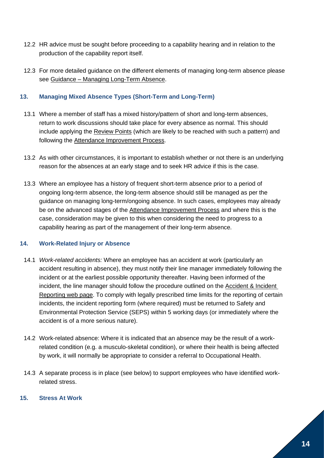- 12.2 HR advice must be sought before proceeding to a capability hearing and in relation to the production of the capability report itself.
- 12.3 For more detailed guidance on the different elements of managing long-term absence please see Guidance – [Managing Long-Term Absence.](https://www.gla.ac.uk/myglasgow/humanresources/all/health/managingattendancepolicy/guidance-managinglong-termongoingabsence/#d.en.501206)

## <span id="page-13-0"></span>**13. Managing Mixed Absence Types (Short-Term and Long-Term)**

- 13.1 Where a member of staff has a mixed history/pattern of short and long-term absences, return to work discussions should take place for every absence as normal. This should include applying the [Review Points](https://www.gla.ac.uk/myglasgow/humanresources/all/health/managingattendancepolicy/managingattendancepolicy/#d.en.501115) (which are likely to be reached with such a pattern) and following the [Attendance Improvement Process.](https://www.gla.ac.uk/myglasgow/humanresources/all/health/managingattendancepolicy/managingattendancepolicy/#d.en.501116)
- 13.2 As with other circumstances, it is important to establish whether or not there is an underlying reason for the absences at an early stage and to seek HR advice if this is the case.
- 13.3 Where an employee has a history of frequent short-term absence prior to a period of ongoing long-term absence, the long-term absence should still be managed as per the guidance on managing long-term/ongoing absence. In such cases, employees may already be on the advanced stages of the [Attendance Improvement Process](https://www.gla.ac.uk/myglasgow/humanresources/all/health/managingattendancepolicy/managingattendancepolicy/#d.en.501116) and where this is the case, consideration may be given to this when considering the need to progress to a capability hearing as part of the management of their long-term absence.

## <span id="page-13-1"></span>**14. Work-Related Injury or Absence**

- 14.1 *Work-related accidents:* Where an employee has an accident at work (particularly an accident resulting in absence), they must notify their line manager immediately following the incident or at the earliest possible opportunity thereafter. Having been informed of the incident, the line manager should follow the procedure outlined on the Accident & Incident Reporting [web page.](https://www.gla.ac.uk/myglasgow/seps/reportanincident/) To comply with legally prescribed time limits for the reporting of certain incidents, the incident reporting form (where required) must be returned to Safety and Environmental Protection Service (SEPS) within 5 working days (or immediately where the accident is of a more serious nature).
- 14.2 Work-related absence: Where it is indicated that an absence may be the result of a workrelated condition (e.g. a musculo-skeletal condition), or where their health is being affected by work, it will normally be appropriate to consider a referral to Occupational Health.
- 14.3 A separate process is in place (see below) to support employees who have identified workrelated stress.

## <span id="page-13-2"></span>**15. Stress At Work**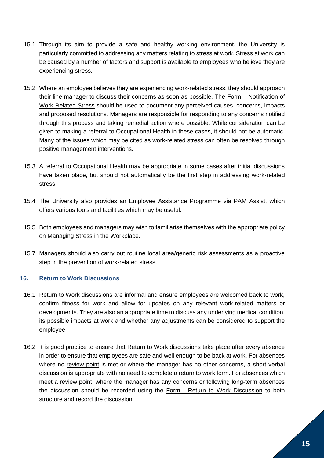- 15.1 Through its aim to provide a safe and healthy working environment, the University is particularly committed to addressing any matters relating to stress at work. Stress at work can be caused by a number of factors and support is available to employees who believe they are experiencing stress.
- 15.2 Where an employee believes they are experiencing work-related stress, they should approach their line manager to discuss their concerns as soon as possible. The Form – [Notification of](https://www.gla.ac.uk/media/Media_501313_smxx.docx)  [Work-Related](https://www.gla.ac.uk/media/Media_501313_smxx.docx) Stress should be used to document any perceived causes, concerns, impacts and proposed resolutions. Managers are responsible for responding to any concerns notified through this process and taking remedial action where possible. While consideration can be given to making a referral to Occupational Health in these cases, it should not be automatic. Many of the issues which may be cited as work-related stress can often be resolved through positive management interventions.
- 15.3 A referral to Occupational Health may be appropriate in some cases after initial discussions have taken place, but should not automatically be the first step in addressing work-related stress.
- 15.4 The University also provides an [Employee Assistance Programme](https://www.gla.ac.uk/myglasgow/health/) via PAM Assist, which offers various tools and facilities which may be useful.
- 15.5 Both employees and managers may wish to familiarise themselves with the appropriate policy on [Managing Stress in the Workplace.](https://www.gla.ac.uk/myglasgow/health/policyformanagingstressintheworkplace/)
- 15.7 Managers should also carry out routine local area/generic risk assessments as a proactive step in the prevention of work-related stress.

#### <span id="page-14-0"></span>**16. Return to Work Discussions**

- 16.1 Return to Work discussions are informal and ensure employees are welcomed back to work, confirm fitness for work and allow for updates on any relevant work-related matters or developments. They are also an appropriate time to discuss any underlying medical condition, its possible impacts at work and whether any [adjustments](https://www.gla.ac.uk/myglasgow/humanresources/all/health/managingattendancepolicy/guidance-consideringreasonableadjustments/) can be considered to support the employee.
- 16.2 It is good practice to ensure that Return to Work discussions take place after every absence in order to ensure that employees are safe and well enough to be back at work. For absences where no [review point](https://www.gla.ac.uk/myglasgow/humanresources/all/health/managingattendancepolicy/managingattendancepolicy/#d.en.501115) is met or where the manager has no other concerns, a short verbal discussion is appropriate with no need to complete a return to work form. For absences which meet a [review point,](https://www.gla.ac.uk/myglasgow/humanresources/all/health/managingattendancepolicy/managingattendancepolicy/#d.en.501115) where the manager has any concerns or following long-term absences the discussion should be recorded using the Form - [Return to Work Discussion](https://www.gla.ac.uk/media/Media_501154_smxx.docx) to both structure and record the discussion.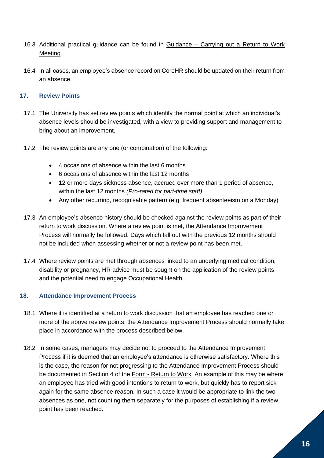- 16.3 Additional practical guidance can be found in Guidance [Carrying out a Return to Work](https://www.gla.ac.uk/myglasgow/humanresources/all/health/managingattendancepolicy/guidance-carryingoutareturntoworkdiscussion/)  [Meeting.](https://www.gla.ac.uk/myglasgow/humanresources/all/health/managingattendancepolicy/guidance-carryingoutareturntoworkdiscussion/)
- 16.4 In all cases, an employee's absence record on CoreHR should be updated on their return from an absence.

# <span id="page-15-0"></span>**17. Review Points**

- 17.1 The University has set review points which identify the normal point at which an individual's absence levels should be investigated, with a view to providing support and management to bring about an improvement.
- 17.2 The review points are any one (or combination) of the following:
	- 4 occasions of absence within the last 6 months
	- 6 occasions of absence within the last 12 months
	- 12 or more days sickness absence, accrued over more than 1 period of absence, within the last 12 months *(Pro-rated for part-time staff)*
	- Any other recurring, recognisable pattern (e.g. frequent absenteeism on a Monday)
- 17.3 An employee's absence history should be checked against the review points as part of their return to work discussion. Where a review point is met, the Attendance Improvement Process will normally be followed. Days which fall out with the previous 12 months should not be included when assessing whether or not a review point has been met.
- 17.4 Where review points are met through absences linked to an underlying medical condition, disability or pregnancy, HR advice must be sought on the application of the review points and the potential need to engage Occupational Health.

## <span id="page-15-1"></span>**18. Attendance Improvement Process**

- 18.1 Where it is identified at a return to work discussion that an employee has reached one or more of the above [review points,](https://www.gla.ac.uk/myglasgow/humanresources/all/health/managingattendancepolicy/managingattendancepolicy/#d.en.501115) the Attendance Improvement Process should normally take place in accordance with the process described below.
- 18.2 In some cases, managers may decide not to proceed to the Attendance Improvement Process if it is deemed that an employee's attendance is otherwise satisfactory. Where this is the case, the reason for not progressing to the Attendance Improvement Process should be documented in Section 4 of the Form - [Return to Work.](https://www.gla.ac.uk/media/Media_501154_smxx.docx) An example of this may be where an employee has tried with good intentions to return to work, but quickly has to report sick again for the same absence reason. In such a case it would be appropriate to link the two absences as one, not counting them separately for the purposes of establishing if a review point has been reached.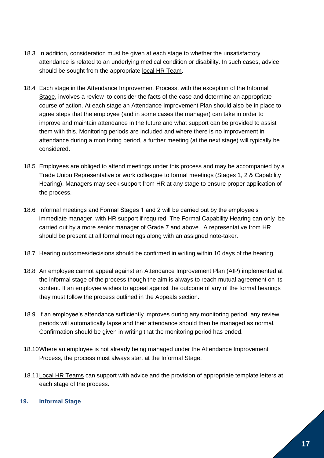- 18.3 In addition, consideration must be given at each stage to whether the unsatisfactory attendance is related to an underlying medical condition or disability. In such cases, advice should be sought from the appropriate [local HR Team.](https://www.gla.ac.uk/myglasgow/humanresources/contact/)
- 18.4 Each stage in the Attendance Improvement Process, with the exception of the [Informal](https://www.gla.ac.uk/myglasgow/humanresources/all/health/managingattendancepolicy/managingattendancepolicy/#d.en.501117)  [Stage,](https://www.gla.ac.uk/myglasgow/humanresources/all/health/managingattendancepolicy/managingattendancepolicy/#d.en.501117) involves a review to consider the facts of the case and determine an appropriate course of action. At each stage an Attendance Improvement Plan should also be in place to agree steps that the employee (and in some cases the manager) can take in order to improve and maintain attendance in the future and what support can be provided to assist them with this. Monitoring periods are included and where there is no improvement in attendance during a monitoring period, a further meeting (at the next stage) will typically be considered.
- 18.5 Employees are obliged to attend meetings under this process and may be accompanied by a Trade Union Representative or work colleague to formal meetings (Stages 1, 2 & Capability Hearing). Managers may seek support from HR at any stage to ensure proper application of the process.
- 18.6 Informal meetings and Formal Stages 1 and 2 will be carried out by the employee's immediate manager, with HR support if required. The Formal Capability Hearing can only be carried out by a more senior manager of Grade 7 and above. A representative from HR should be present at all formal meetings along with an assigned note-taker.
- 18.7 Hearing outcomes/decisions should be confirmed in writing within 10 days of the hearing.
- 18.8 An employee cannot appeal against an Attendance Improvement Plan (AIP) implemented at the informal stage of the process though the aim is always to reach mutual agreement on its content. If an employee wishes to appeal against the outcome of any of the formal hearings they must follow the process outlined in the [Appeals](https://www.gla.ac.uk/myglasgow/humanresources/all/health/managingattendancepolicy/managingattendancepolicy/#d.en.501124) section.
- 18.9 If an employee's attendance sufficiently improves during any monitoring period, any review periods will automatically lapse and their attendance should then be managed as normal. Confirmation should be given in writing that the monitoring period has ended.
- 18.10Where an employee is not already being managed under the Attendance Improvement Process, the process must always start at the Informal Stage.
- 18.1[1Local HR Teams](https://www.gla.ac.uk/myglasgow/humanresources/contact/) can support with advice and the provision of appropriate template letters at each stage of the process.

## <span id="page-16-0"></span>**19. Informal Stage**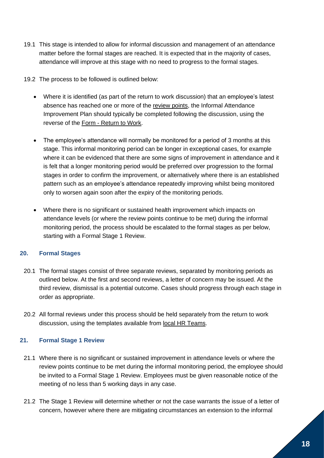- 19.1 This stage is intended to allow for informal discussion and management of an attendance matter before the formal stages are reached. It is expected that in the majority of cases, attendance will improve at this stage with no need to progress to the formal stages.
- 19.2 The process to be followed is outlined below:
	- Where it is identified (as part of the return to work discussion) that an employee's latest absence has reached one or more of the [review points,](https://www.gla.ac.uk/myglasgow/humanresources/all/health/managingattendancepolicy/managingattendancepolicy/#d.en.501115) the Informal Attendance Improvement Plan should typically be completed following the discussion, using the reverse of the Form - [Return to Work.](https://www.gla.ac.uk/media/Media_501154_smxx.docx)
	- The employee's attendance will normally be monitored for a period of 3 months at this stage. This informal monitoring period can be longer in exceptional cases, for example where it can be evidenced that there are some signs of improvement in attendance and it is felt that a longer monitoring period would be preferred over progression to the formal stages in order to confirm the improvement, or alternatively where there is an established pattern such as an employee's attendance repeatedly improving whilst being monitored only to worsen again soon after the expiry of the monitoring periods.
	- Where there is no significant or sustained health improvement which impacts on attendance levels (or where the review points continue to be met) during the informal monitoring period, the process should be escalated to the formal stages as per below, starting with a Formal Stage 1 Review.

## <span id="page-17-0"></span>**20. Formal Stages**

- 20.1 The formal stages consist of three separate reviews, separated by monitoring periods as outlined below. At the first and second reviews, a letter of concern may be issued. At the third review, dismissal is a potential outcome. Cases should progress through each stage in order as appropriate.
- 20.2 All formal reviews under this process should be held separately from the return to work discussion, using the templates available from [local HR Teams.](https://www.gla.ac.uk/myglasgow/humanresources/contact/)

# <span id="page-17-1"></span>**21. Formal Stage 1 Review**

- 21.1 Where there is no significant or sustained improvement in attendance levels or where the review points continue to be met during the informal monitoring period, the employee should be invited to a Formal Stage 1 Review. Employees must be given reasonable notice of the meeting of no less than 5 working days in any case.
- 21.2 The Stage 1 Review will determine whether or not the case warrants the issue of a letter of concern, however where there are mitigating circumstances an extension to the informal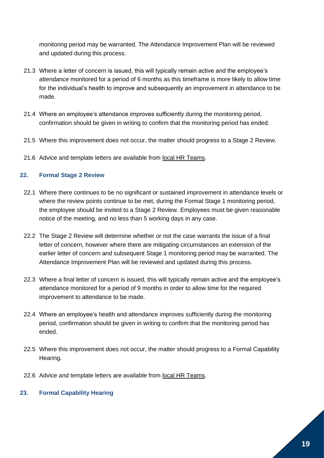monitoring period may be warranted. The Attendance Improvement Plan will be reviewed and updated during this process.

- 21.3 Where a letter of concern is issued, this will typically remain active and the employee's attendance monitored for a period of 6 months as this timeframe is more likely to allow time for the individual's health to improve and subsequently an improvement in attendance to be made.
- 21.4 Where an employee's attendance improves sufficiently during the monitoring period, confirmation should be given in writing to confirm that the monitoring period has ended.
- 21.5 Where this improvement does not occur, the matter should progress to a Stage 2 Review.
- 21.6 Advice and template letters are available from [local HR Teams.](https://www.gla.ac.uk/myglasgow/humanresources/contact/)

#### <span id="page-18-0"></span>**22. Formal Stage 2 Review**

- 22.1 Where there continues to be no significant or sustained improvement in attendance levels or where the review points continue to be met, during the Formal Stage 1 monitoring period, the employee should be invited to a Stage 2 Review. Employees must be given reasonable notice of the meeting, and no less than 5 working days in any case.
- 22.2 The Stage 2 Review will determine whether or not the case warrants the issue of a final letter of concern, however where there are mitigating circumstances an extension of the earlier letter of concern and subsequent Stage 1 monitoring period may be warranted. The Attendance Improvement Plan will be reviewed and updated during this process.
- 22.3 Where a final letter of concern is issued, this will typically remain active and the employee's attendance monitored for a period of 9 months in order to allow time for the required improvement to attendance to be made.
- 22.4 Where an employee's health and attendance improves sufficiently during the monitoring period, confirmation should be given in writing to confirm that the monitoring period has ended.
- 22.5 Where this improvement does not occur, the matter should progress to a Formal Capability Hearing.
- 22.6 Advice and template letters are available from [local HR Teams.](https://www.gla.ac.uk/myglasgow/humanresources/contact/)

## <span id="page-18-1"></span>**23. Formal Capability Hearing**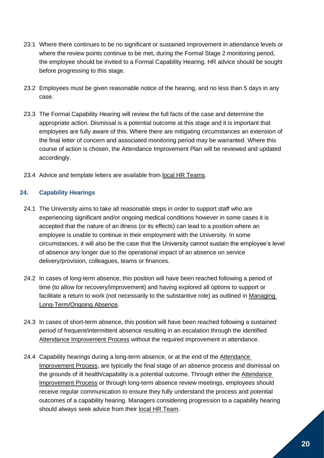- 23.1 Where there continues to be no significant or sustained improvement in attendance levels or where the review points continue to be met, during the Formal Stage 2 monitoring period, the employee should be invited to a Formal Capability Hearing. HR advice should be sought before progressing to this stage.
- 23.2 Employees must be given reasonable notice of the hearing, and no less than 5 days in any case.
- 23.3 The Formal Capability Hearing will review the full facts of the case and determine the appropriate action. Dismissal is a potential outcome at this stage and it is important that employees are fully aware of this. Where there are mitigating circumstances an extension of the final letter of concern and associated monitoring period may be warranted. Where this course of action is chosen, the Attendance Improvement Plan will be reviewed and updated accordingly.
- 23.4 Advice and template letters are available from [local HR Teams.](https://www.gla.ac.uk/myglasgow/humanresources/contact/)

## <span id="page-19-0"></span>**24. Capability Hearings**

- 24.1 The University aims to take all reasonable steps in order to support staff who are experiencing significant and/or ongoing medical conditions however in some cases it is accepted that the nature of an illness (or its effects) can lead to a position where an employee is unable to continue in their employment with the University. In some circumstances, it will also be the case that the University cannot sustain the employee's level of absence any longer due to the operational impact of an absence on service delivery/provision, colleagues, teams or finances.
- 24.2 In cases of long-term absence, this position will have been reached following a period of time (to allow for recovery/improvement) and having explored all options to support or facilitate a return to work (not necessarily to the substantive role) as outlined in [Managing](https://www.gla.ac.uk/myglasgow/humanresources/all/health/managingattendancepolicy/managingattendancepolicy/#d.en.501106)  [Long-Term/Ongoing Absence.](https://www.gla.ac.uk/myglasgow/humanresources/all/health/managingattendancepolicy/managingattendancepolicy/#d.en.501106)
- 24.3 In cases of short-term absence, this position will have been reached following a sustained period of frequent/intermittent absence resulting in an escalation through the identified [Attendance Improvement Process](https://www.gla.ac.uk/myglasgow/humanresources/all/health/managingattendancepolicy/managingattendancepolicy/#d.en.501116) without the required improvement in attendance.
- 24.4 Capability hearings during a long-term absence, or at the end of the [Attendance](https://www.gla.ac.uk/myglasgow/humanresources/all/health/managingattendancepolicy/managingattendancepolicy/#d.en.501116)  [Improvement Process,](https://www.gla.ac.uk/myglasgow/humanresources/all/health/managingattendancepolicy/managingattendancepolicy/#d.en.501116) are typically the final stage of an absence process and dismissal on the grounds of ill health/capability is a potential outcome. Through either the [Attendance](https://www.gla.ac.uk/myglasgow/humanresources/all/health/managingattendancepolicy/managingattendancepolicy/#d.en.501116)  [Improvement Process](https://www.gla.ac.uk/myglasgow/humanresources/all/health/managingattendancepolicy/managingattendancepolicy/#d.en.501116) or through long-term absence review meetings, employees should receive regular communication to ensure they fully understand the process and potential outcomes of a capability hearing. Managers considering progression to a capability hearing should always seek advice from their [local HR Team.](https://www.gla.ac.uk/myglasgow/humanresources/contact/)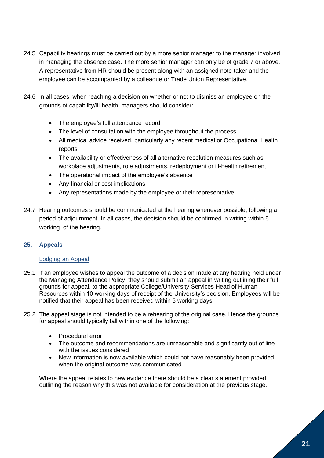- 24.5 Capability hearings must be carried out by a more senior manager to the manager involved in managing the absence case. The more senior manager can only be of grade 7 or above. A representative from HR should be present along with an assigned note-taker and the employee can be accompanied by a colleague or Trade Union Representative.
- 24.6 In all cases, when reaching a decision on whether or not to dismiss an employee on the grounds of capability/ill-health, managers should consider:
	- The employee's full attendance record
	- The level of consultation with the employee throughout the process
	- All medical advice received, particularly any recent medical or Occupational Health reports
	- The availability or effectiveness of all alternative resolution measures such as workplace adjustments, role adjustments, redeployment or ill-health retirement
	- The operational impact of the employee's absence
	- Any financial or cost implications
	- Any representations made by the employee or their representative
- 24.7 Hearing outcomes should be communicated at the hearing whenever possible, following a period of adjournment. In all cases, the decision should be confirmed in writing within 5 working of the hearing.

# <span id="page-20-0"></span>**25. Appeals**

## Lodging an Appeal

- 25.1 If an employee wishes to appeal the outcome of a decision made at any hearing held under the Managing Attendance Policy, they should submit an appeal in writing outlining their full grounds for appeal, to the appropriate College/University Services Head of Human Resources within 10 working days of receipt of the University's decision. Employees will be notified that their appeal has been received within 5 working days.
- 25.2 The appeal stage is not intended to be a rehearing of the original case. Hence the grounds for appeal should typically fall within one of the following:
	- Procedural error
	- The outcome and recommendations are unreasonable and significantly out of line with the issues considered
	- New information is now available which could not have reasonably been provided when the original outcome was communicated

Where the appeal relates to new evidence there should be a clear statement provided outlining the reason why this was not available for consideration at the previous stage.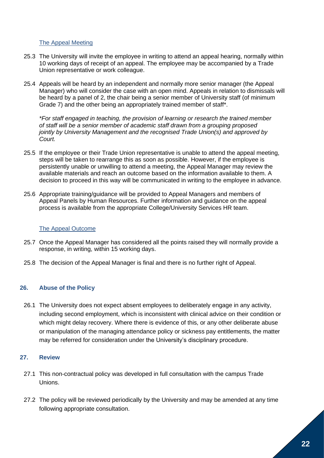#### The Appeal Meeting

- 25.3 The University will invite the employee in writing to attend an appeal hearing, normally within 10 working days of receipt of an appeal. The employee may be accompanied by a Trade Union representative or work colleague.
- 25.4 Appeals will be heard by an independent and normally more senior manager (the Appeal Manager) who will consider the case with an open mind. Appeals in relation to dismissals will be heard by a panel of 2, the chair being a senior member of University staff (of minimum Grade 7) and the other being an appropriately trained member of staff\*.

*\*For staff engaged in teaching, the provision of learning or research the trained member of staff will be a senior member of academic staff drawn from a grouping proposed jointly by University Management and the recognised Trade Union(s) and approved by Court.* 

- 25.5 If the employee or their Trade Union representative is unable to attend the appeal meeting, steps will be taken to rearrange this as soon as possible. However, if the employee is persistently unable or unwilling to attend a meeting, the Appeal Manager may review the available materials and reach an outcome based on the information available to them. A decision to proceed in this way will be communicated in writing to the employee in advance.
- 25.6 Appropriate training/guidance will be provided to Appeal Managers and members of Appeal Panels by Human Resources. Further information and guidance on the appeal process is available from the appropriate College/University Services HR team.

#### The Appeal Outcome

- 25.7 Once the Appeal Manager has considered all the points raised they will normally provide a response, in writing, within 15 working days.
- 25.8 The decision of the Appeal Manager is final and there is no further right of Appeal.

#### <span id="page-21-0"></span>**26. Abuse of the Policy**

26.1 The University does not expect absent employees to deliberately engage in any activity, including second employment, which is inconsistent with clinical advice on their condition or which might delay recovery. Where there is evidence of this, or any other deliberate abuse or manipulation of the managing attendance policy or sickness pay entitlements, the matter may be referred for consideration under the University's disciplinary procedure.

#### <span id="page-21-1"></span>**27. Review**

- 27.1 This non-contractual policy was developed in full consultation with the campus Trade Unions.
- 27.2 The policy will be reviewed periodically by the University and may be amended at any time following appropriate consultation.